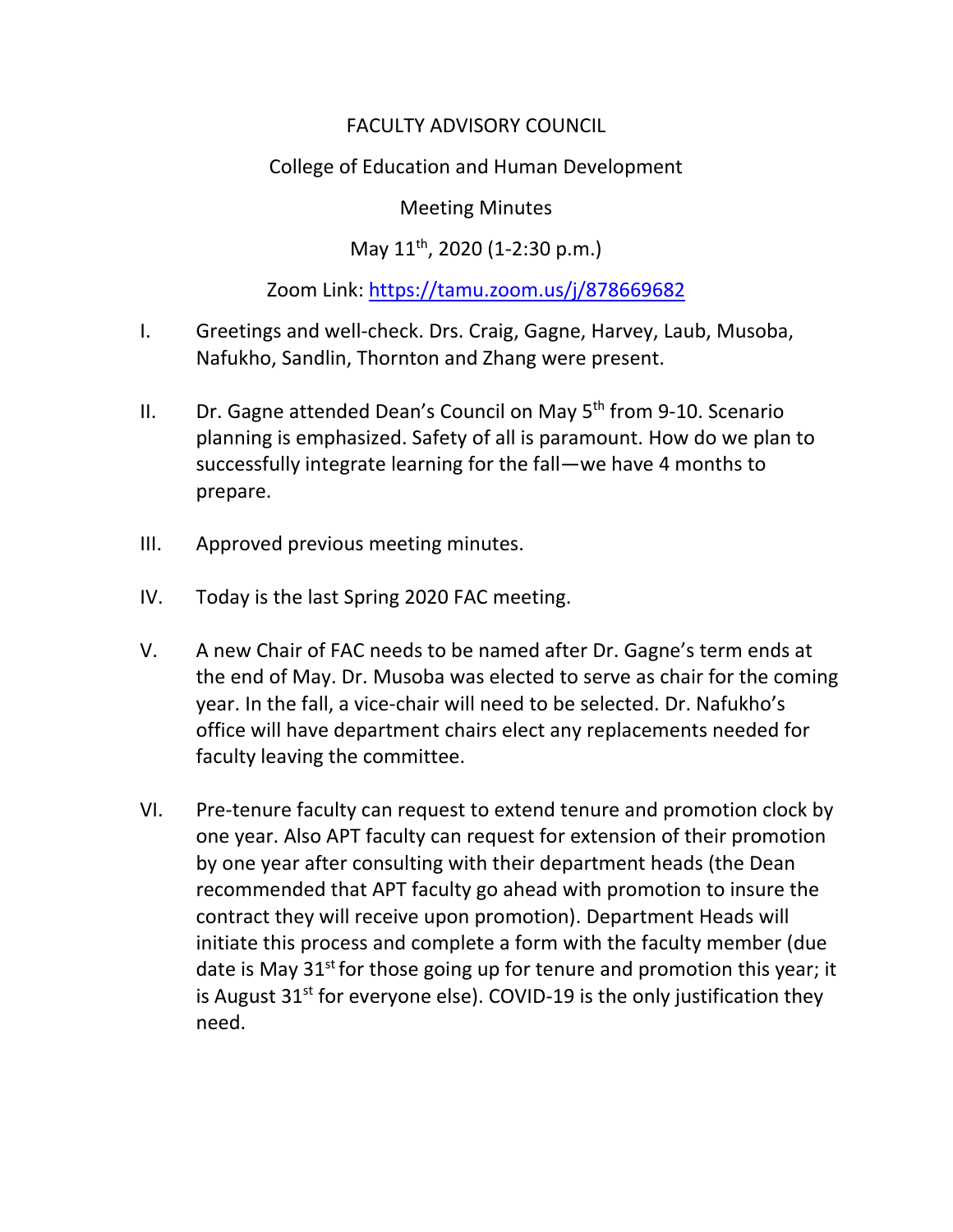# FACULTY ADVISORY COUNCIL

# College of Education and Human Development

### Meeting Minutes

# May 11th, 2020 (1-2:30 p.m.)

## Zoom Link:<https://tamu.zoom.us/j/878669682>

- I. Greetings and well-check. Drs. Craig, Gagne, Harvey, Laub, Musoba, Nafukho, Sandlin, Thornton and Zhang were present.
- II.  $Dr$ . Gagne attended Dean's Council on May  $5<sup>th</sup>$  from 9-10. Scenario planning is emphasized. Safety of all is paramount. How do we plan to successfully integrate learning for the fall—we have 4 months to prepare.
- III. Approved previous meeting minutes.
- IV. Today is the last Spring 2020 FAC meeting.
- V. A new Chair of FAC needs to be named after Dr. Gagne's term ends at the end of May. Dr. Musoba was elected to serve as chair for the coming year. In the fall, a vice-chair will need to be selected. Dr. Nafukho's office will have department chairs elect any replacements needed for faculty leaving the committee.
- VI. Pre-tenure faculty can request to extend tenure and promotion clock by one year. Also APT faculty can request for extension of their promotion by one year after consulting with their department heads (the Dean recommended that APT faculty go ahead with promotion to insure the contract they will receive upon promotion). Department Heads will initiate this process and complete a form with the faculty member (due date is May  $31<sup>st</sup>$  for those going up for tenure and promotion this year; it is August  $31^{st}$  for everyone else). COVID-19 is the only justification they need.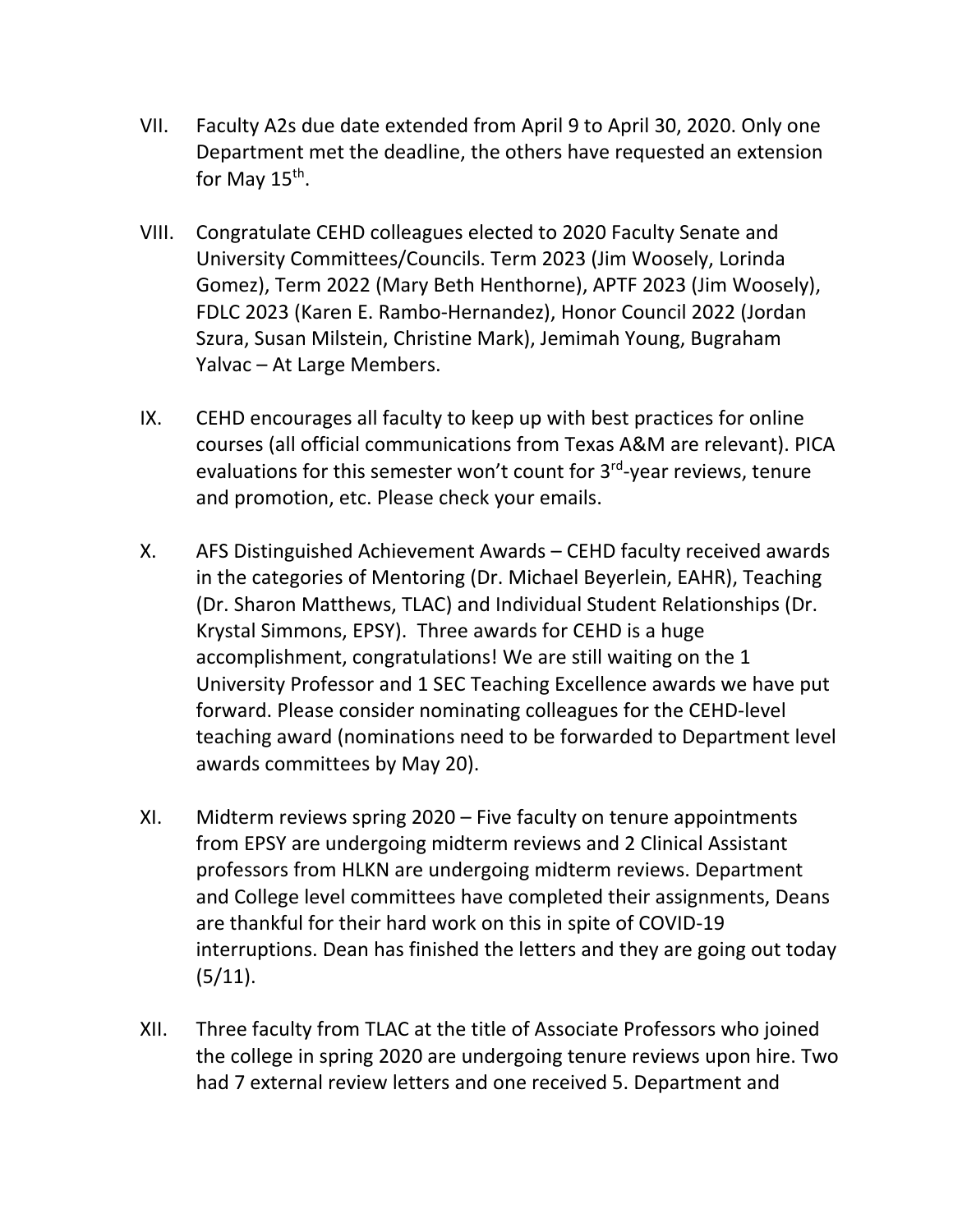- VII. Faculty A2s due date extended from April 9 to April 30, 2020. Only one Department met the deadline, the others have requested an extension for May  $15<sup>th</sup>$ .
- VIII. Congratulate CEHD colleagues elected to 2020 Faculty Senate and University Committees/Councils. Term 2023 (Jim Woosely, Lorinda Gomez), Term 2022 (Mary Beth Henthorne), APTF 2023 (Jim Woosely), FDLC 2023 (Karen E. Rambo-Hernandez), Honor Council 2022 (Jordan Szura, Susan Milstein, Christine Mark), Jemimah Young, Bugraham Yalvac – At Large Members.
- IX. CEHD encourages all faculty to keep up with best practices for online courses (all official communications from Texas A&M are relevant). PICA evaluations for this semester won't count for 3<sup>rd</sup>-year reviews, tenure and promotion, etc. Please check your emails.
- X. AFS Distinguished Achievement Awards CEHD faculty received awards in the categories of Mentoring (Dr. Michael Beyerlein, EAHR), Teaching (Dr. Sharon Matthews, TLAC) and Individual Student Relationships (Dr. Krystal Simmons, EPSY). Three awards for CEHD is a huge accomplishment, congratulations! We are still waiting on the 1 University Professor and 1 SEC Teaching Excellence awards we have put forward. Please consider nominating colleagues for the CEHD-level teaching award (nominations need to be forwarded to Department level awards committees by May 20).
- XI. Midterm reviews spring 2020 Five faculty on tenure appointments from EPSY are undergoing midterm reviews and 2 Clinical Assistant professors from HLKN are undergoing midterm reviews. Department and College level committees have completed their assignments, Deans are thankful for their hard work on this in spite of COVID-19 interruptions. Dean has finished the letters and they are going out today  $(5/11).$
- XII. Three faculty from TLAC at the title of Associate Professors who joined the college in spring 2020 are undergoing tenure reviews upon hire. Two had 7 external review letters and one received 5. Department and